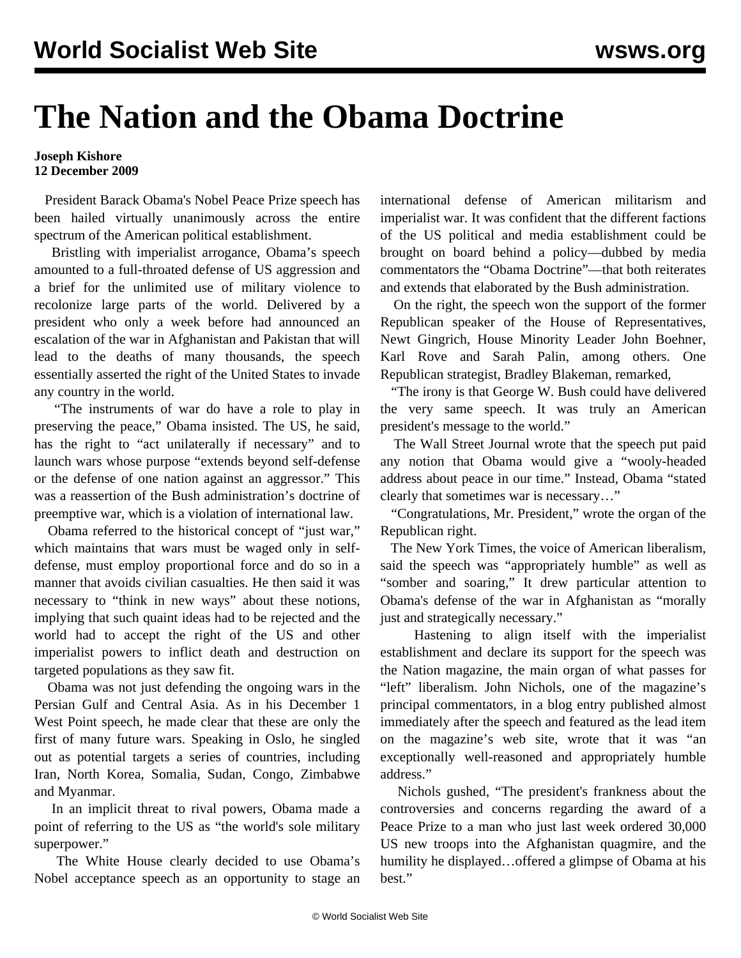## **The Nation and the Obama Doctrine**

## **Joseph Kishore 12 December 2009**

 President Barack Obama's Nobel Peace Prize speech has been hailed virtually unanimously across the entire spectrum of the American political establishment.

 Bristling with imperialist arrogance, Obama's speech amounted to a full-throated defense of US aggression and a brief for the unlimited use of military violence to recolonize large parts of the world. Delivered by a president who only a week before had announced an escalation of the war in Afghanistan and Pakistan that will lead to the deaths of many thousands, the speech essentially asserted the right of the United States to invade any country in the world.

 "The instruments of war do have a role to play in preserving the peace," Obama insisted. The US, he said, has the right to "act unilaterally if necessary" and to launch wars whose purpose "extends beyond self-defense or the defense of one nation against an aggressor." This was a reassertion of the Bush administration's doctrine of preemptive war, which is a violation of international law.

 Obama referred to the historical concept of "just war," which maintains that wars must be waged only in selfdefense, must employ proportional force and do so in a manner that avoids civilian casualties. He then said it was necessary to "think in new ways" about these notions, implying that such quaint ideas had to be rejected and the world had to accept the right of the US and other imperialist powers to inflict death and destruction on targeted populations as they saw fit.

 Obama was not just defending the ongoing wars in the Persian Gulf and Central Asia. As in his December 1 West Point speech, he made clear that these are only the first of many future wars. Speaking in Oslo, he singled out as potential targets a series of countries, including Iran, North Korea, Somalia, Sudan, Congo, Zimbabwe and Myanmar.

 In an implicit threat to rival powers, Obama made a point of referring to the US as "the world's sole military superpower."

 The White House clearly decided to use Obama's Nobel acceptance speech as an opportunity to stage an

international defense of American militarism and imperialist war. It was confident that the different factions of the US political and media establishment could be brought on board behind a policy—dubbed by media commentators the "Obama Doctrine"—that both reiterates and extends that elaborated by the Bush administration.

 On the right, the speech won the support of the former Republican speaker of the House of Representatives, Newt Gingrich, House Minority Leader John Boehner, Karl Rove and Sarah Palin, among others. One Republican strategist, Bradley Blakeman, remarked,

 "The irony is that George W. Bush could have delivered the very same speech. It was truly an American president's message to the world."

 The Wall Street Journal wrote that the speech put paid any notion that Obama would give a "wooly-headed address about peace in our time." Instead, Obama "stated clearly that sometimes war is necessary…"

 "Congratulations, Mr. President," wrote the organ of the Republican right.

 The New York Times, the voice of American liberalism, said the speech was "appropriately humble" as well as "somber and soaring," It drew particular attention to Obama's defense of the war in Afghanistan as "morally just and strategically necessary."

 Hastening to align itself with the imperialist establishment and declare its support for the speech was the Nation magazine, the main organ of what passes for "left" liberalism. John Nichols, one of the magazine's principal commentators, in a blog entry published almost immediately after the speech and featured as the lead item on the magazine's web site, wrote that it was "an exceptionally well-reasoned and appropriately humble address."

 Nichols gushed, "The president's frankness about the controversies and concerns regarding the award of a Peace Prize to a man who just last week ordered 30,000 US new troops into the Afghanistan quagmire, and the humility he displayed…offered a glimpse of Obama at his best."